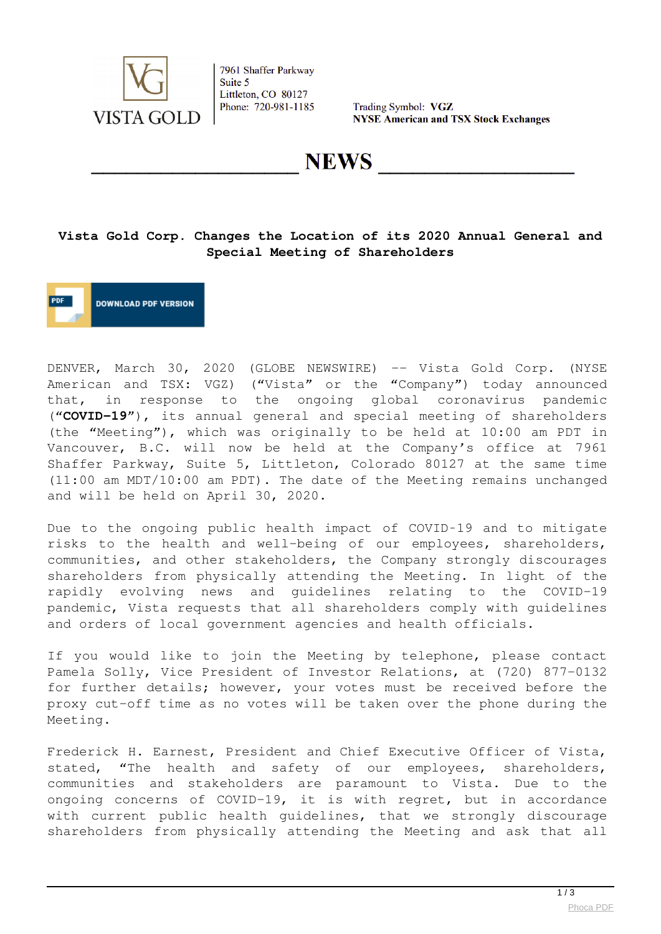

7961 Shaffer Parkway Suite 5 Littleton, CO 80127 Phone: 720-981-1185

Trading Symbol: VGZ **NYSE American and TSX Stock Exchanges** 

**NEWS** 

### **Vista Gold Corp. Changes the Location of its 2020 Annual General and Special Meeting of Shareholders**

**DOWNLOAD PDF VERSION** 

DENVER, March 30, 2020 (GLOBE NEWSWIRE) -- Vista Gold Corp. (NYSE American and TSX: VGZ) ("Vista" or the "Company") today announced that, in response to the ongoing global coronavirus pandemic ("**COVID‑19**"), its annual general and special meeting of shareholders (the "Meeting"), which was originally to be held at 10:00 am PDT in Vancouver, B.C. will now be held at the Company's office at 7961 Shaffer Parkway, Suite 5, Littleton, Colorado 80127 at the same time (11:00 am MDT/10:00 am PDT). The date of the Meeting remains unchanged and will be held on April 30, 2020.

Due to the ongoing public health impact of COVID-19 and to mitigate risks to the health and well-being of our employees, shareholders, communities, and other stakeholders, the Company strongly discourages shareholders from physically attending the Meeting. In light of the rapidly evolving news and guidelines relating to the COVID-19 pandemic, Vista requests that all shareholders comply with guidelines and orders of local government agencies and health officials.

If you would like to join the Meeting by telephone, please contact Pamela Solly, Vice President of Investor Relations, at (720) 877-0132 for further details; however, your votes must be received before the proxy cut-off time as no votes will be taken over the phone during the Meeting.

Frederick H. Earnest, President and Chief Executive Officer of Vista, stated, "The health and safety of our employees, shareholders, communities and stakeholders are paramount to Vista. Due to the ongoing concerns of COVID-19, it is with regret, but in accordance with current public health guidelines, that we strongly discourage shareholders from physically attending the Meeting and ask that all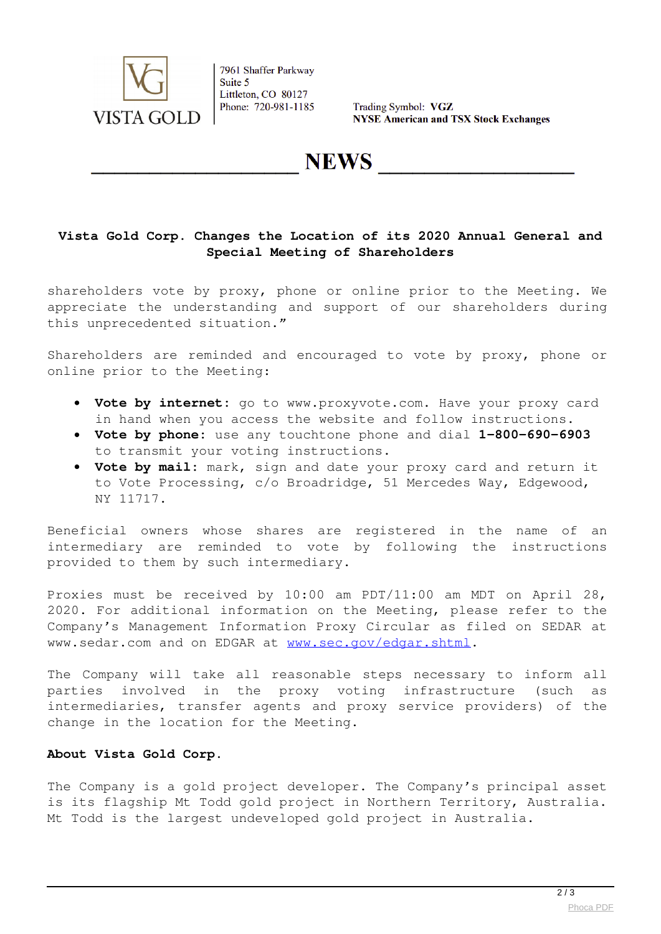

7961 Shaffer Parkway Suite 5 Littleton, CO 80127 Phone: 720-981-1185

Trading Symbol: VGZ **NYSE American and TSX Stock Exchanges** 

# **NEWS**

### **Vista Gold Corp. Changes the Location of its 2020 Annual General and Special Meeting of Shareholders**

shareholders vote by proxy, phone or online prior to the Meeting. We appreciate the understanding and support of our shareholders during this unprecedented situation."

Shareholders are reminded and encouraged to vote by proxy, phone or online prior to the Meeting:

- **Vote by internet:** go to www.proxyvote.com. Have your proxy card in hand when you access the website and follow instructions.
- **Vote by phone:** use any touchtone phone and dial **1-800-690-6903** to transmit your voting instructions.
- **Vote by mail:** mark, sign and date your proxy card and return it to Vote Processing, c/o Broadridge, 51 Mercedes Way, Edgewood, NY 11717.

Beneficial owners whose shares are registered in the name of an intermediary are reminded to vote by following the instructions provided to them by such intermediary.

Proxies must be received by 10:00 am PDT/11:00 am MDT on April 28, 2020. For additional information on the Meeting, please refer to the Company's Management Information Proxy Circular as filed on SEDAR at www.sedar.com and on EDGAR at [www.sec.gov/edgar.shtml](https://www.globenewswire.com/Tracker?data=PtyRpQ1AtVLlq55UIKDl4DI4_YL2RFfKwG0LipFkMDszG4YgsA3dtTqpGU8O1e4Oofh5QGK9yG5CigHsPLmdG3I-6UiB6_6k6ujqTGXeVpg=).

The Company will take all reasonable steps necessary to inform all parties involved in the proxy voting infrastructure (such as intermediaries, transfer agents and proxy service providers) of the change in the location for the Meeting.

#### **About Vista Gold Corp**.

The Company is a gold project developer. The Company's principal asset is its flagship Mt Todd gold project in Northern Territory, Australia. Mt Todd is the largest undeveloped gold project in Australia.